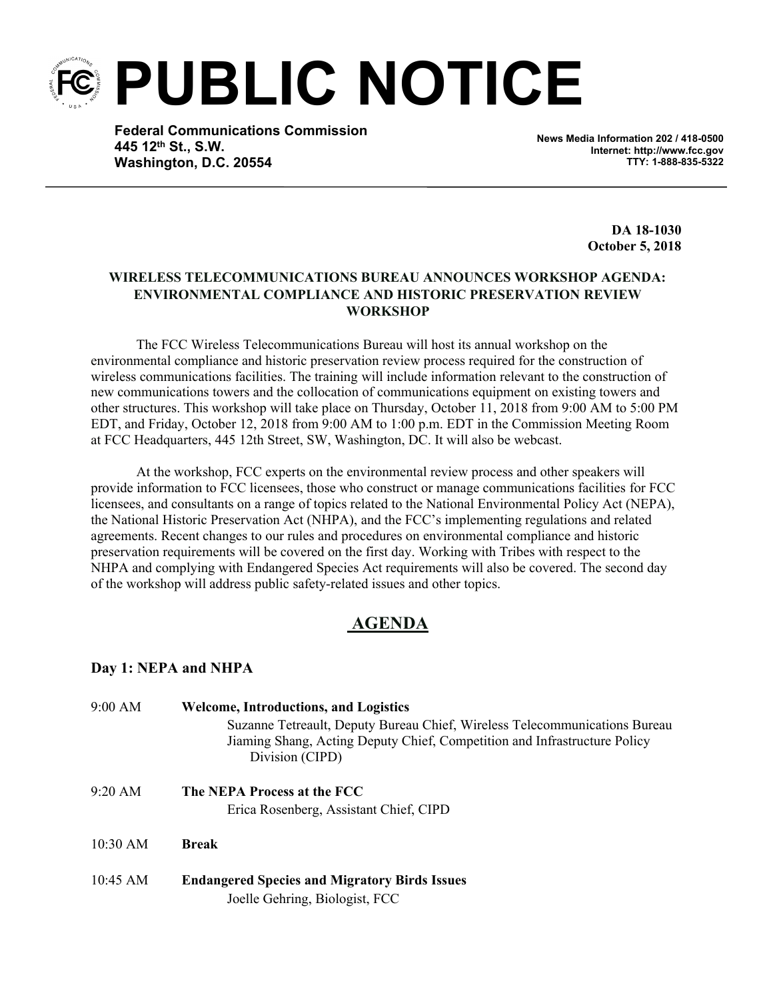**PUBLIC NOTICE**

**Federal Communications Commission 445 12th St., S.W. Washington, D.C. 20554**

**News Media Information 202 / 418-0500 Internet: http://www.fcc.gov TTY: 1-888-835-5322**

> **DA 18-1030 October 5, 2018**

## **WIRELESS TELECOMMUNICATIONS BUREAU ANNOUNCES WORKSHOP AGENDA: ENVIRONMENTAL COMPLIANCE AND HISTORIC PRESERVATION REVIEW WORKSHOP**

The FCC Wireless Telecommunications Bureau will host its annual workshop on the environmental compliance and historic preservation review process required for the construction of wireless communications facilities. The training will include information relevant to the construction of new communications towers and the collocation of communications equipment on existing towers and other structures. This workshop will take place on Thursday, October 11, 2018 from 9:00 AM to 5:00 PM EDT, and Friday, October 12, 2018 from 9:00 AM to 1:00 p.m. EDT in the Commission Meeting Room at FCC Headquarters, 445 12th Street, SW, Washington, DC. It will also be webcast.

At the workshop, FCC experts on the environmental review process and other speakers will provide information to FCC licensees, those who construct or manage communications facilities for FCC licensees, and consultants on a range of topics related to the National Environmental Policy Act (NEPA), the National Historic Preservation Act (NHPA), and the FCC's implementing regulations and related agreements. Recent changes to our rules and procedures on environmental compliance and historic preservation requirements will be covered on the first day. Working with Tribes with respect to the NHPA and complying with Endangered Species Act requirements will also be covered. The second day of the workshop will address public safety-related issues and other topics.

## **AGENDA**

## **Day 1: NEPA and NHPA**

9:00 AM **Welcome, Introductions, and Logistics** Suzanne Tetreault, Deputy Bureau Chief, Wireless Telecommunications Bureau Jiaming Shang, Acting Deputy Chief, Competition and Infrastructure Policy Division (CIPD) 9:20 AM **The NEPA Process at the FCC** Erica Rosenberg, Assistant Chief, CIPD 10:30 AM **Break** 10:45 AM **Endangered Species and Migratory Birds Issues**

Joelle Gehring, Biologist, FCC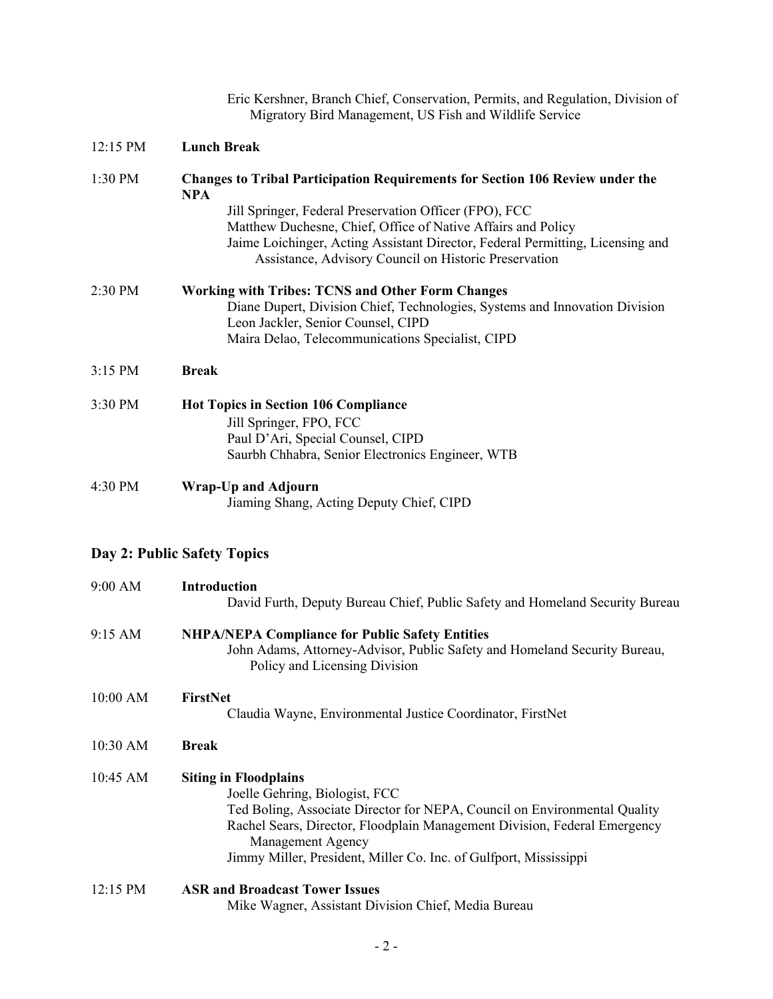|          | Eric Kershner, Branch Chief, Conservation, Permits, and Regulation, Division of<br>Migratory Bird Management, US Fish and Wildlife Service                                                                                                                                                                                                                              |
|----------|-------------------------------------------------------------------------------------------------------------------------------------------------------------------------------------------------------------------------------------------------------------------------------------------------------------------------------------------------------------------------|
| 12:15 PM | <b>Lunch Break</b>                                                                                                                                                                                                                                                                                                                                                      |
| 1:30 PM  | <b>Changes to Tribal Participation Requirements for Section 106 Review under the</b><br><b>NPA</b><br>Jill Springer, Federal Preservation Officer (FPO), FCC<br>Matthew Duchesne, Chief, Office of Native Affairs and Policy<br>Jaime Loichinger, Acting Assistant Director, Federal Permitting, Licensing and<br>Assistance, Advisory Council on Historic Preservation |
| 2:30 PM  | <b>Working with Tribes: TCNS and Other Form Changes</b><br>Diane Dupert, Division Chief, Technologies, Systems and Innovation Division<br>Leon Jackler, Senior Counsel, CIPD<br>Maira Delao, Telecommunications Specialist, CIPD                                                                                                                                        |
| 3:15 PM  | <b>Break</b>                                                                                                                                                                                                                                                                                                                                                            |
| 3:30 PM  | <b>Hot Topics in Section 106 Compliance</b><br>Jill Springer, FPO, FCC<br>Paul D'Ari, Special Counsel, CIPD<br>Saurbh Chhabra, Senior Electronics Engineer, WTB                                                                                                                                                                                                         |
| 4:30 PM  | <b>Wrap-Up and Adjourn</b><br>Jiaming Shang, Acting Deputy Chief, CIPD                                                                                                                                                                                                                                                                                                  |
|          | Day 2: Public Safety Topics                                                                                                                                                                                                                                                                                                                                             |
| 9:00 AM  | <b>Introduction</b><br>David Furth, Deputy Bureau Chief, Public Safety and Homeland Security Bureau                                                                                                                                                                                                                                                                     |
| 9:15 AM  | <b>NHPA/NEPA Compliance for Public Safety Entities</b><br>John Adams, Attorney-Advisor, Public Safety and Homeland Security Bureau,<br>Policy and Licensing Division                                                                                                                                                                                                    |
| 10:00 AM | FirstNet<br>Claudia Wayne, Environmental Justice Coordinator, FirstNet                                                                                                                                                                                                                                                                                                  |
| 10:30 AM | <b>Break</b>                                                                                                                                                                                                                                                                                                                                                            |
| 10:45 AM | <b>Siting in Floodplains</b><br>Joelle Gehring, Biologist, FCC<br>Ted Boling, Associate Director for NEPA, Council on Environmental Quality<br>Rachel Sears, Director, Floodplain Management Division, Federal Emergency<br>Management Agency<br>Jimmy Miller, President, Miller Co. Inc. of Gulfport, Mississippi                                                      |
| 12:15 PM | <b>ASR and Broadcast Tower Issues</b>                                                                                                                                                                                                                                                                                                                                   |

Mike Wagner, Assistant Division Chief, Media Bureau